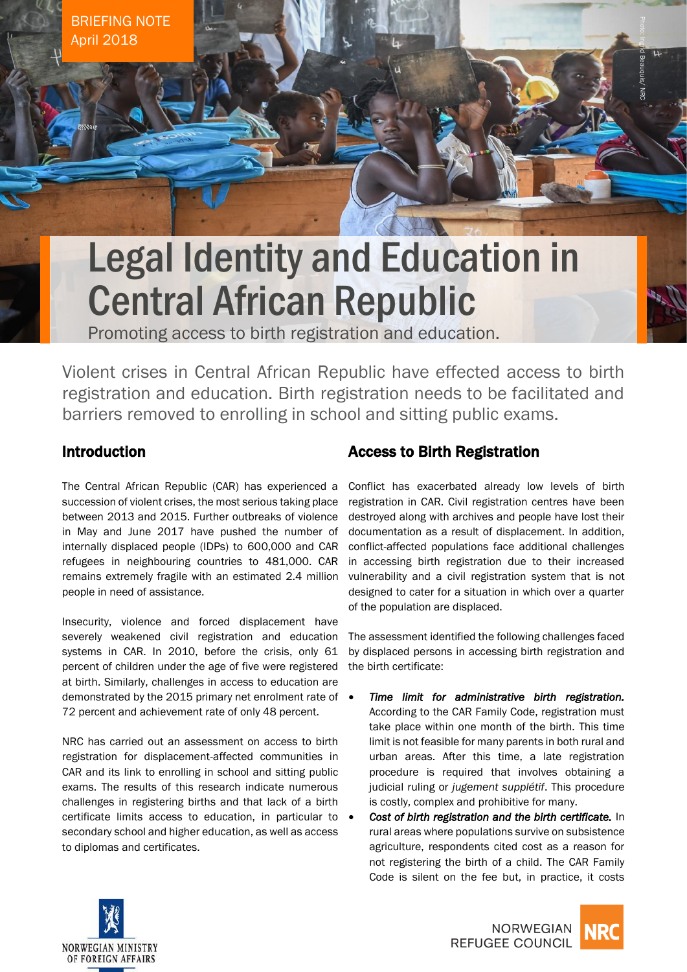BRIEFING NOTE April 2018

# Legal Identity and Education in Central African Republic

Promoting access to birth registration and education.

Violent crises in Central African Republic have effected access to birth registration and education. Birth registration needs to be facilitated and barriers removed to enrolling in school and sitting public exams.

# Introduction

The Central African Republic (CAR) has experienced a succession of violent crises, the most serious taking place between 2013 and 2015. Further outbreaks of violence in May and June 2017 have pushed the number of internally displaced people (IDPs) to 600,000 and CAR refugees in neighbouring countries to 481,000. CAR remains extremely fragile with an estimated 2.4 million people in need of assistance.

Insecurity, violence and forced displacement have severely weakened civil registration and education systems in CAR. In 2010, before the crisis, only 61 percent of children under the age of five were registered at birth. Similarly, challenges in access to education are demonstrated by the 2015 primary net enrolment rate of  $\bullet$ 72 percent and achievement rate of only 48 percent.

NRC has carried out an assessment on access to birth registration for displacement-affected communities in CAR and its link to enrolling in school and sitting public exams. The results of this research indicate numerous challenges in registering births and that lack of a birth certificate limits access to education, in particular to secondary school and higher education, as well as access to diplomas and certificates.

# Access to Birth Registration

Conflict has exacerbated already low levels of birth registration in CAR. Civil registration centres have been destroyed along with archives and people have lost their documentation as a result of displacement. In addition, conflict-affected populations face additional challenges in accessing birth registration due to their increased vulnerability and a civil registration system that is not designed to cater for a situation in which over a quarter of the population are displaced.

Photo: Ingrid Beauquis/ NRC

The assessment identified the following challenges faced by displaced persons in accessing birth registration and the birth certificate:

- *Time limit for administrative birth registration.* According to the CAR Family Code, registration must take place within one month of the birth. This time limit is not feasible for many parents in both rural and urban areas. After this time, a late registration procedure is required that involves obtaining a judicial ruling or *jugement supplétif*. This procedure is costly, complex and prohibitive for many.
- *Cost of birth registration and the birth certificate.* In rural areas where populations survive on subsistence agriculture, respondents cited cost as a reason for not registering the birth of a child. The CAR Family Code is silent on the fee but, in practice, it costs



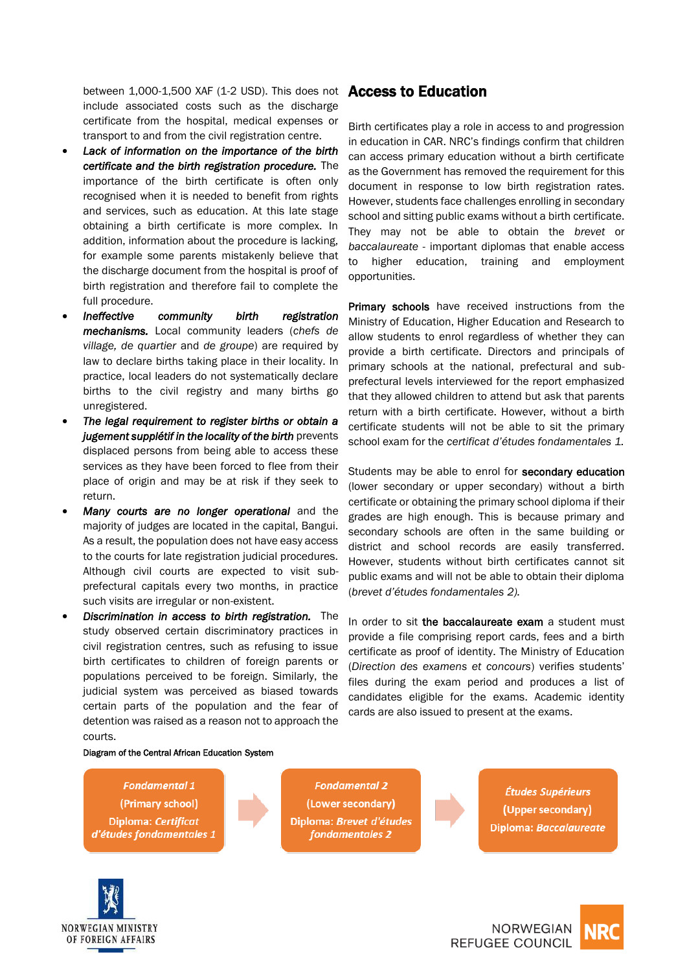between 1,000-1,500 XAF (1-2 USD). This does not Access to Education include associated costs such as the discharge certificate from the hospital, medical expenses or transport to and from the civil registration centre.

- *Lack of information on the importance of the birth certificate and the birth registration procedure.* The importance of the birth certificate is often only recognised when it is needed to benefit from rights and services, such as education. At this late stage obtaining a birth certificate is more complex. In addition, information about the procedure is lacking, for example some parents mistakenly believe that the discharge document from the hospital is proof of birth registration and therefore fail to complete the full procedure.
- *Ineffective community birth registration mechanisms.* Local community leaders (*chefs de village, de quartier* and *de groupe*) are required by law to declare births taking place in their locality. In practice, local leaders do not systematically declare births to the civil registry and many births go unregistered.
- *The legal requirement to register births or obtain a jugement supplétif in the locality of the birth prevents* displaced persons from being able to access these services as they have been forced to flee from their place of origin and may be at risk if they seek to return.
- *Many courts are no longer operational* and the majority of judges are located in the capital, Bangui. As a result, the population does not have easy access to the courts for late registration judicial procedures. Although civil courts are expected to visit subprefectural capitals every two months, in practice such visits are irregular or non-existent.
- *Discrimination in access to birth registration.* The study observed certain discriminatory practices in civil registration centres, such as refusing to issue birth certificates to children of foreign parents or populations perceived to be foreign. Similarly, the judicial system was perceived as biased towards certain parts of the population and the fear of detention was raised as a reason not to approach the courts.

Birth certificates play a role in access to and progression in education in CAR. NRC's findings confirm that children can access primary education without a birth certificate as the Government has removed the requirement for this document in response to low birth registration rates. However, students face challenges enrolling in secondary school and sitting public exams without a birth certificate. They may not be able to obtain the *brevet* or *baccalaureate* - important diplomas that enable access to higher education, training and employment opportunities.

**Primary schools** have received instructions from the Ministry of Education, Higher Education and Research to allow students to enrol regardless of whether they can provide a birth certificate. Directors and principals of primary schools at the national, prefectural and subprefectural levels interviewed for the report emphasized that they allowed children to attend but ask that parents return with a birth certificate. However, without a birth certificate students will not be able to sit the primary school exam for the *certificat d'études fondamentales 1.*

Students may be able to enrol for secondary education (lower secondary or upper secondary) without a birth certificate or obtaining the primary school diploma if their grades are high enough. This is because primary and secondary schools are often in the same building or district and school records are easily transferred. However, students without birth certificates cannot sit public exams and will not be able to obtain their diploma (*brevet d'études fondamentales 2).*

In order to sit the baccalaureate exam a student must provide a file comprising report cards, fees and a birth certificate as proof of identity. The Ministry of Education (*Direction des examens et concours*) verifies students' files during the exam period and produces a list of candidates eligible for the exams. Academic identity cards are also issued to present at the exams.

#### Diagram of the Central African Education System

#### **Fondamental 1** (Primary school) Diploma: Certificat d'études fondamentales 1

**Fondamental 2** (Lower secondary) Diploma: Brevet d'études fondamentales 2

Études Supérieurs (Upper secondary) Diploma: Baccalaureate